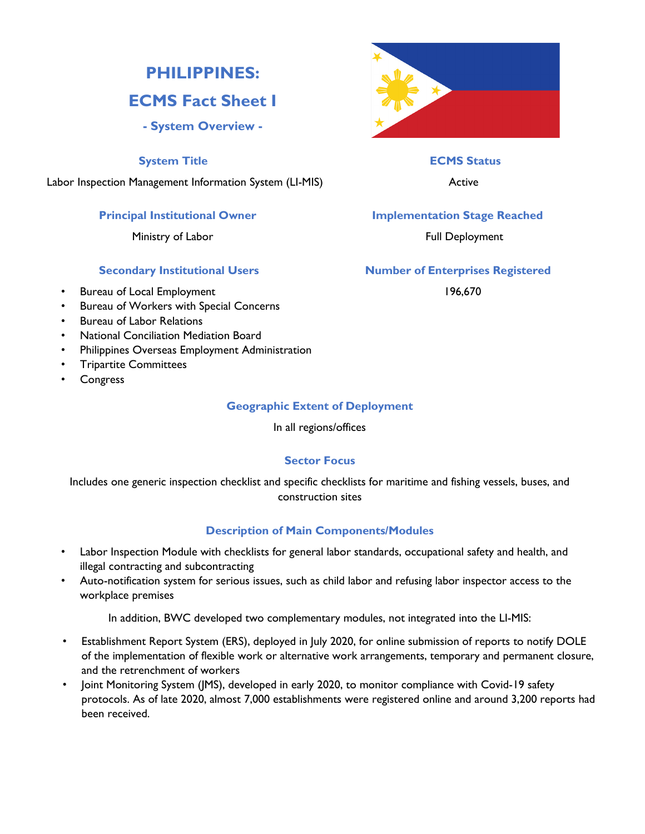# **PHILIPPINES:**

# **ECMS Fact Sheet I**

## **- System Overview -**

## **System Title ECMS Status**

Labor Inspection Management Information System (LI-MIS) and the control of Active

Ministry of Labor **Full Deployment** 

- Bureau of Local Employment 196,670
- Bureau of Workers with Special Concerns
- Bureau of Labor Relations
- National Conciliation Mediation Board
- Philippines Overseas Employment Administration
- Tripartite Committees
- Congress

## **Geographic Extent of Deployment**

In all regions/offices

## **Sector Focus**

Includes one generic inspection checklist and specific checklists for maritime and fishing vessels, buses, and construction sites

## **Description of Main Components/Modules**

- Labor Inspection Module with checklists for general labor standards, occupational safety and health, and illegal contracting and subcontracting
- Auto-notification system for serious issues, such as child labor and refusing labor inspector access to the workplace premises

In addition, BWC developed two complementary modules, not integrated into the LI-MIS:

- Establishment Report System (ERS), deployed in July 2020, for online submission of reports to notify DOLE of the implementation of flexible work or alternative work arrangements, temporary and permanent closure, and the retrenchment of workers
- Joint Monitoring System (JMS), developed in early 2020, to monitor compliance with Covid-19 safety protocols. As of late 2020, almost 7,000 establishments were registered online and around 3,200 reports had been received.



## **Principal Institutional Owner Stage Reached Implementation Stage Reached**

## **Secondary Institutional Users Number of Enterprises Registered**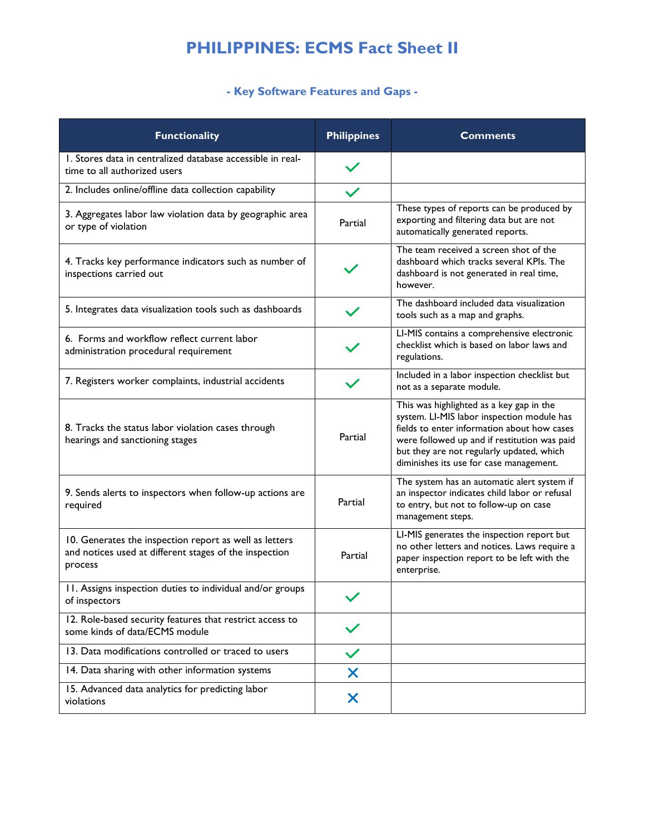# **PHILIPPINES: ECMS Fact Sheet II**

# **- Key Software Features and Gaps -**

| <b>Functionality</b>                                                                                                        | <b>Philippines</b> | <b>Comments</b>                                                                                                                                                                                                                                                               |
|-----------------------------------------------------------------------------------------------------------------------------|--------------------|-------------------------------------------------------------------------------------------------------------------------------------------------------------------------------------------------------------------------------------------------------------------------------|
| I. Stores data in centralized database accessible in real-<br>time to all authorized users                                  |                    |                                                                                                                                                                                                                                                                               |
| 2. Includes online/offline data collection capability                                                                       |                    |                                                                                                                                                                                                                                                                               |
| 3. Aggregates labor law violation data by geographic area<br>or type of violation                                           | Partial            | These types of reports can be produced by<br>exporting and filtering data but are not<br>automatically generated reports.                                                                                                                                                     |
| 4. Tracks key performance indicators such as number of<br>inspections carried out                                           |                    | The team received a screen shot of the<br>dashboard which tracks several KPIs. The<br>dashboard is not generated in real time,<br>however.                                                                                                                                    |
| 5. Integrates data visualization tools such as dashboards                                                                   |                    | The dashboard included data visualization<br>tools such as a map and graphs.                                                                                                                                                                                                  |
| 6. Forms and workflow reflect current labor<br>administration procedural requirement                                        |                    | LI-MIS contains a comprehensive electronic<br>checklist which is based on labor laws and<br>regulations.                                                                                                                                                                      |
| 7. Registers worker complaints, industrial accidents                                                                        |                    | Included in a labor inspection checklist but<br>not as a separate module.                                                                                                                                                                                                     |
| 8. Tracks the status labor violation cases through<br>hearings and sanctioning stages                                       | Partial            | This was highlighted as a key gap in the<br>system. LI-MIS labor inspection module has<br>fields to enter information about how cases<br>were followed up and if restitution was paid<br>but they are not regularly updated, which<br>diminishes its use for case management. |
| 9. Sends alerts to inspectors when follow-up actions are<br>required                                                        | Partial            | The system has an automatic alert system if<br>an inspector indicates child labor or refusal<br>to entry, but not to follow-up on case<br>management steps.                                                                                                                   |
| 10. Generates the inspection report as well as letters<br>and notices used at different stages of the inspection<br>process | Partial            | LI-MIS generates the inspection report but<br>no other letters and notices. Laws require a<br>paper inspection report to be left with the<br>enterprise.                                                                                                                      |
| 11. Assigns inspection duties to individual and/or groups<br>of inspectors                                                  |                    |                                                                                                                                                                                                                                                                               |
| 12. Role-based security features that restrict access to<br>some kinds of data/ECMS module                                  |                    |                                                                                                                                                                                                                                                                               |
| 13. Data modifications controlled or traced to users                                                                        | $\checkmark$       |                                                                                                                                                                                                                                                                               |
| 14. Data sharing with other information systems                                                                             | X                  |                                                                                                                                                                                                                                                                               |
| 15. Advanced data analytics for predicting labor<br>violations                                                              | X                  |                                                                                                                                                                                                                                                                               |